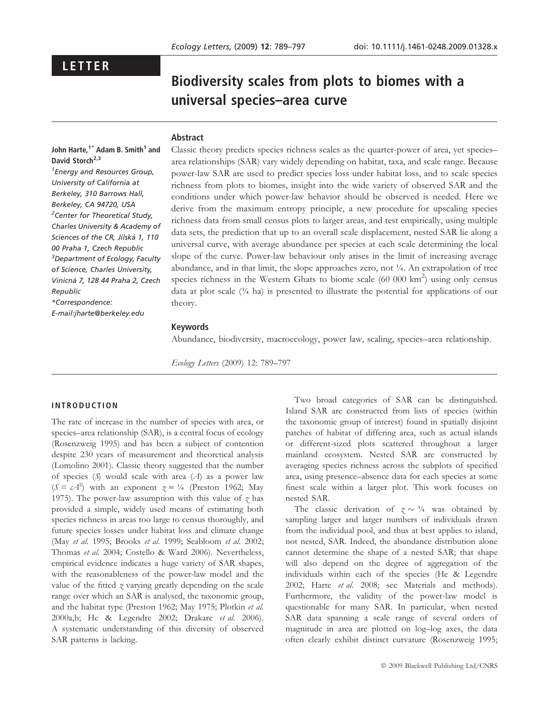# LETTER

# Biodiversity scales from plots to biomes with a universal species–area curve

# Abstract

# John Harte,<sup>1\*</sup> Adam B. Smith<sup>1</sup> and David Storch<sup>2,3</sup>

1 Energy and Resources Group, University of California at Berkeley, 310 Barrows Hall, Berkeley, CA 94720, USA <sup>2</sup> Center for Theoretical Study, Charles University & Academy of Sciences of the CR, Jilská 1, 110 00 Praha 1, Czech Republic 3 Department of Ecology, Faculty of Science, Charles University, Vinicná 7, 128 44 Praha 2, Czech Republic \*Correspondence:

E-mail:jharte@berkeley.edu

Classic theory predicts species richness scales as the quarter-power of area, yet species– area relationships (SAR) vary widely depending on habitat, taxa, and scale range. Because power-law SAR are used to predict species loss under habitat loss, and to scale species richness from plots to biomes, insight into the wide variety of observed SAR and the conditions under which power-law behavior should be observed is needed. Here we derive from the maximum entropy principle, a new procedure for upscaling species richness data from small census plots to larger areas, and test empirically, using multiple data sets, the prediction that up to an overall scale displacement, nested SAR lie along a universal curve, with average abundance per species at each scale determining the local slope of the curve. Power-law behaviour only arises in the limit of increasing average abundance, and in that limit, the slope approaches zero, not  $\frac{1}{4}$ . An extrapolation of tree species richness in the Western Ghats to biome scale  $(60\ 000\ km^2)$  using only census data at plot scale (¼ ha) is presented to illustrate the potential for applications of our theory.

#### Keywords

Abundance, biodiversity, macroecology, power law, scaling, species–area relationship.

Ecology Letters (2009) 12: 789–797

# INTRODUCTION

The rate of increase in the number of species with area, or species–area relationship (SAR), is a central focus of ecology (Rosenzweig 1995) and has been a subject of contention despite 230 years of measurement and theoretical analysis (Lomolino 2001). Classic theory suggested that the number of species  $(5)$  would scale with area  $(A)$  as a power law  $(S = \alpha A^3)$  with an exponent  $z \approx \frac{1}{4}$  (Preston 1962; May 1975). The power-law assumption with this value of  $\gamma$  has provided a simple, widely used means of estimating both species richness in areas too large to census thoroughly, and future species losses under habitat loss and climate change (May et al. 1995; Brooks et al. 1999; Seabloom et al. 2002; Thomas et al. 2004; Costello & Ward 2006). Nevertheless, empirical evidence indicates a huge variety of SAR shapes, with the reasonableness of the power-law model and the value of the fitted  $\gamma$  varying greatly depending on the scale range over which an SAR is analysed, the taxonomic group, and the habitat type (Preston 1962; May 1975; Plotkin et al. 2000a,b; He & Legendre 2002; Drakare et al. 2006). A systematic understanding of this diversity of observed SAR patterns is lacking.

Two broad categories of SAR can be distinguished. Island SAR are constructed from lists of species (within the taxonomic group of interest) found in spatially disjoint patches of habitat of differing area, such as actual islands or different-sized plots scattered throughout a larger mainland ecosystem. Nested SAR are constructed by averaging species richness across the subplots of specified area, using presence–absence data for each species at some finest scale within a larger plot. This work focuses on nested SAR.

The classic derivation of  $z \sim \frac{1}{4}$  was obtained by sampling larger and larger numbers of individuals drawn from the individual pool, and thus at best applies to island, not nested, SAR. Indeed, the abundance distribution alone cannot determine the shape of a nested SAR; that shape will also depend on the degree of aggregation of the individuals within each of the species (He & Legendre 2002; Harte et al. 2008; see Materials and methods). Furthermore, the validity of the power-law model is questionable for many SAR. In particular, when nested SAR data spanning a scale range of several orders of magnitude in area are plotted on log–log axes, the data often clearly exhibit distinct curvature (Rosenzweig 1995;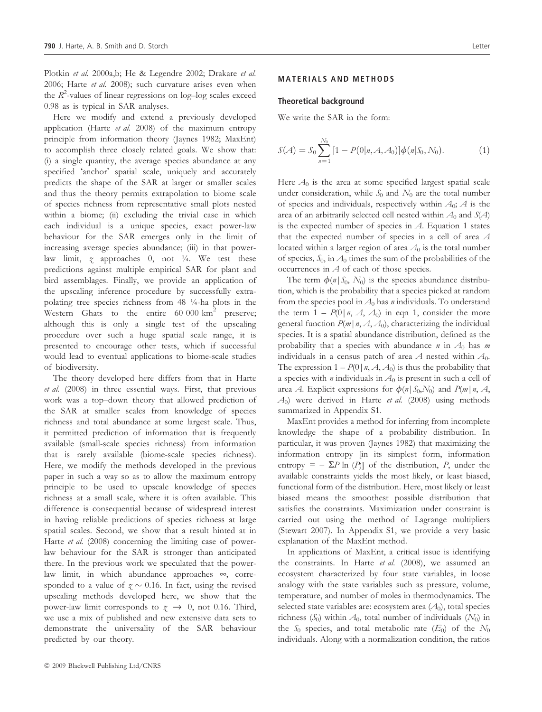Plotkin et al. 2000a,b; He & Legendre 2002; Drakare et al. 2006; Harte et al. 2008); such curvature arises even when the  $R^2$ -values of linear regressions on log-log scales exceed 0.98 as is typical in SAR analyses.

Here we modify and extend a previously developed application (Harte et al. 2008) of the maximum entropy principle from information theory (Jaynes 1982; MaxEnt) to accomplish three closely related goals. We show that: (i) a single quantity, the average species abundance at any specified 'anchor' spatial scale, uniquely and accurately predicts the shape of the SAR at larger or smaller scales and thus the theory permits extrapolation to biome scale of species richness from representative small plots nested within a biome; (ii) excluding the trivial case in which each individual is a unique species, exact power-law behaviour for the SAR emerges only in the limit of increasing average species abundance; (iii) in that powerlaw limit,  $\gamma$  approaches 0, not  $\frac{1}{4}$ . We test these predictions against multiple empirical SAR for plant and bird assemblages. Finally, we provide an application of the upscaling inference procedure by successfully extrapolating tree species richness from 48 ¼-ha plots in the Western Ghats to the entire  $60\ 000\ km^2$  preserve; although this is only a single test of the upscaling procedure over such a huge spatial scale range, it is presented to encourage other tests, which if successful would lead to eventual applications to biome-scale studies of biodiversity.

The theory developed here differs from that in Harte et al. (2008) in three essential ways. First, that previous work was a top–down theory that allowed prediction of the SAR at smaller scales from knowledge of species richness and total abundance at some largest scale. Thus, it permitted prediction of information that is frequently available (small-scale species richness) from information that is rarely available (biome-scale species richness). Here, we modify the methods developed in the previous paper in such a way so as to allow the maximum entropy principle to be used to upscale knowledge of species richness at a small scale, where it is often available. This difference is consequential because of widespread interest in having reliable predictions of species richness at large spatial scales. Second, we show that a result hinted at in Harte et al. (2008) concerning the limiting case of powerlaw behaviour for the SAR is stronger than anticipated there. In the previous work we speculated that the powerlaw limit, in which abundance approaches  $\infty$ , corresponded to a value of  $z \sim 0.16$ . In fact, using the revised upscaling methods developed here, we show that the power-law limit corresponds to  $\zeta \rightarrow 0$ , not 0.16. Third, we use a mix of published and new extensive data sets to demonstrate the universality of the SAR behaviour predicted by our theory.

# MATERIALS AND METHODS

#### Theoretical background

We write the SAR in the form:

$$
S(A) = S_0 \sum_{n=1}^{N_0} [1 - P(0|n, A, A_0)] \phi(n|S_0, N_0).
$$
 (1)

Here  $A_0$  is the area at some specified largest spatial scale under consideration, while  $S_0$  and  $N_0$  are the total number of species and individuals, respectively within  $A_0$ ; A is the area of an arbitrarily selected cell nested within  $A_0$  and  $S(A)$ is the expected number of species in  $A$ . Equation 1 states that the expected number of species in a cell of area A located within a larger region of area  $A_0$  is the total number of species,  $S_0$ , in  $A_0$  times the sum of the probabilities of the occurrences in A of each of those species.

The term  $\phi(n|S_0, N_0)$  is the species abundance distribution, which is the probability that a species picked at random from the species pool in  $A_0$  has *n* individuals. To understand the term  $1 - P(0 | n, A, A_0)$  in eqn 1, consider the more general function  $P(m | n, A, A_0)$ , characterizing the individual species. It is a spatial abundance distribution, defined as the probability that a species with abundance *n* in  $A_0$  has *m* individuals in a census patch of area A nested within  $A_0$ . The expression  $1 - P(0 | n, A, A_0)$  is thus the probability that a species with  $n$  individuals in  $A_0$  is present in such a cell of area A. Explicit expressions for  $\phi(n|S_0,N_0)$  and  $P(m|n, A, \theta)$  $A_0$ ) were derived in Harte *et al.* (2008) using methods summarized in Appendix S1.

MaxEnt provides a method for inferring from incomplete knowledge the shape of a probability distribution. In particular, it was proven (Jaynes 1982) that maximizing the information entropy [in its simplest form, information entropy =  $-\Sigma P \ln (P)$  of the distribution, P, under the available constraints yields the most likely, or least biased, functional form of the distribution. Here, most likely or least biased means the smoothest possible distribution that satisfies the constraints. Maximization under constraint is carried out using the method of Lagrange multipliers (Stewart 2007). In Appendix S1, we provide a very basic explanation of the MaxEnt method.

In applications of MaxEnt, a critical issue is identifying the constraints. In Harte et al. (2008), we assumed an ecosystem characterized by four state variables, in loose analogy with the state variables such as pressure, volume, temperature, and number of moles in thermodynamics. The selected state variables are: ecosystem area  $(A_0)$ , total species richness  $(S_0)$  within  $A_0$ , total number of individuals  $(N_0)$  in the  $S_0$  species, and total metabolic rate  $(E_0)$  of the  $N_0$ individuals. Along with a normalization condition, the ratios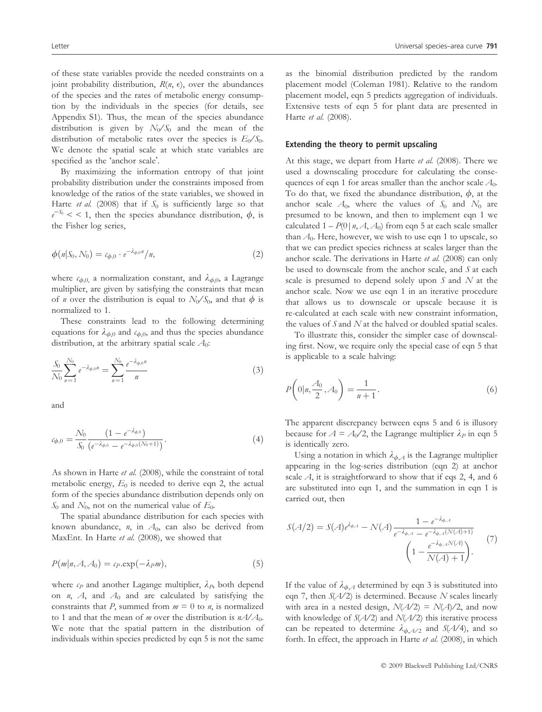of these state variables provide the needed constraints on a joint probability distribution,  $R(n, \epsilon)$ , over the abundances of the species and the rates of metabolic energy consumption by the individuals in the species (for details, see Appendix S1). Thus, the mean of the species abundance distribution is given by  $N_0/S_0$  and the mean of the distribution of metabolic rates over the species is  $E_0/S_0$ . We denote the spatial scale at which state variables are specified as the 'anchor scale'.

By maximizing the information entropy of that joint probability distribution under the constraints imposed from knowledge of the ratios of the state variables, we showed in Harte et al. (2008) that if  $S_0$  is sufficiently large so that  $e^{-S_0}$  < < 1, then the species abundance distribution,  $\phi$ , is the Fisher log series,

$$
\phi(n|S_0, N_0) = c_{\phi,0} \cdot e^{-\lambda_{\phi,0}n}/n,
$$
\n(2)

where  $c_{\phi,0}$  a normalization constant, and  $\lambda_{\phi,0}$ , a Lagrange multiplier, are given by satisfying the constraints that mean of *n* over the distribution is equal to  $N_0/S_0$ , and that  $\phi$  is normalized to 1.

These constraints lead to the following determining equations for  $\lambda_{\phi,0}$  and  $\epsilon_{\phi,0}$ , and thus the species abundance distribution, at the arbitrary spatial scale  $A_0$ :

$$
\frac{S_0}{N_0} \sum_{n=1}^{N_0} e^{-\lambda_{\phi,0}n} = \sum_{n=1}^{N_0} \frac{e^{-\lambda_{\phi,0}n}}{n}
$$
 (3)

and

$$
c_{\phi,0} = \frac{N_0}{S_0} \frac{\left(1 - e^{-\lambda_{\phi,0}}\right)}{\left(e^{-\lambda_{\phi,0}} - e^{-\lambda_{\phi,0}(N_0 + 1)}\right)}.\tag{4}
$$

As shown in Harte et al. (2008), while the constraint of total metabolic energy,  $E_0$  is needed to derive eqn 2, the actual form of the species abundance distribution depends only on  $S_0$  and  $N_0$ , not on the numerical value of  $E_0$ .

The spatial abundance distribution for each species with known abundance,  $n$ , in  $A_0$ , can also be derived from MaxEnt. In Harte et al. (2008), we showed that

$$
P(m|n, A, A_0) = c_P \exp(-\lambda_P m), \qquad (5)
$$

where  $c_P$  and another Lagange multiplier,  $\lambda_P$ , both depend on  $n$ ,  $A$ , and  $A_0$  and are calculated by satisfying the constraints that P, summed from  $m = 0$  to n, is normalized to 1 and that the mean of *m* over the distribution is  $nA/A<sub>0</sub>$ . We note that the spatial pattern in the distribution of individuals within species predicted by eqn 5 is not the same

as the binomial distribution predicted by the random placement model (Coleman 1981). Relative to the random placement model, eqn 5 predicts aggregation of individuals. Extensive tests of eqn 5 for plant data are presented in Harte et al. (2008).

#### Extending the theory to permit upscaling

At this stage, we depart from Harte *et al.* (2008). There we used a downscaling procedure for calculating the consequences of eqn 1 for areas smaller than the anchor scale  $A_0$ . To do that, we fixed the abundance distribution,  $\phi$ , at the anchor scale  $A_0$ , where the values of  $S_0$  and  $N_0$  are presumed to be known, and then to implement eqn 1 we calculated  $1 - P(0 | n, A, A_0)$  from eqn 5 at each scale smaller than  $A_0$ . Here, however, we wish to use eqn 1 to upscale, so that we can predict species richness at scales larger than the anchor scale. The derivations in Harte et al. (2008) can only be used to downscale from the anchor scale, and S at each scale is presumed to depend solely upon  $S$  and  $N$  at the anchor scale. Now we use eqn 1 in an iterative procedure that allows us to downscale or upscale because it is re-calculated at each scale with new constraint information, the values of  $S$  and  $N$  at the halved or doubled spatial scales.

To illustrate this, consider the simpler case of downscaling first. Now, we require only the special case of eqn 5 that is applicable to a scale halving:

$$
P\left(0|n, \frac{A_0}{2}, A_0\right) = \frac{1}{n+1}.
$$
 (6)

The apparent discrepancy between eqns 5 and 6 is illusory because for  $A = A_0/2$ , the Lagrange multiplier  $\lambda_P$  in eqn 5 is identically zero.

Using a notation in which  $\lambda_{\phi,A}$  is the Lagrange multiplier appearing in the log-series distribution (eqn 2) at anchor scale  $A$ , it is straightforward to show that if eqs 2, 4, and 6 are substituted into eqn 1, and the summation in eqn 1 is carried out, then

$$
S(A/2) = S(A)e^{\lambda_{\phi,A}} - N(A)\frac{1 - e^{-\lambda_{\phi,A}}}{e^{-\lambda_{\phi,A}} - e^{-\lambda_{\phi,A}(N(A)+1)}}
$$

$$
\left(1 - \frac{e^{-\lambda_{\phi,A}N(A)}}{N(A)+1}\right).
$$
(7)

If the value of  $\lambda_{\phi,A}$  determined by eqn 3 is substituted into eqn 7, then  $S(A/2)$  is determined. Because N scales linearly with area in a nested design,  $N(A/2) = N(A)/2$ , and now with knowledge of  $S(A/2)$  and  $N(A/2)$  this iterative process can be repeated to determine  $\lambda_{\phi,A/2}$  and  $S(A/4)$ , and so forth. In effect, the approach in Harte et al. (2008), in which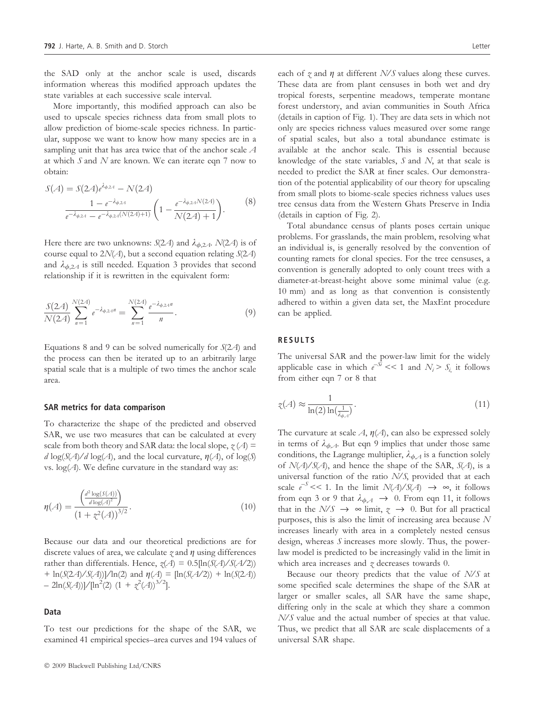the SAD only at the anchor scale is used, discards information whereas this modified approach updates the state variables at each successive scale interval.

More importantly, this modified approach can also be used to upscale species richness data from small plots to allow prediction of biome-scale species richness. In particular, suppose we want to know how many species are in a sampling unit that has area twice that of the anchor scale A at which  $S$  and  $N$  are known. We can iterate eqn  $7$  now to obtain:

$$
S(A) = S(2A)e^{\lambda_{\phi,24}} - N(2A)
$$
  

$$
\frac{1 - e^{-\lambda_{\phi,24}}}{e^{-\lambda_{\phi,24}} - e^{-\lambda_{\phi,24}(N(2A)+1)}} \left(1 - \frac{e^{-\lambda_{\phi,24}N(2A)}}{N(2A)+1}\right).
$$
 (8)

Here there are two unknowns:  $S(2A)$  and  $\lambda_{\phi,2A}$ .  $N(2A)$  is of course equal to  $2N(A)$ , but a second equation relating  $S(2A)$ and  $\lambda_{\phi,2A}$  is still needed. Equation 3 provides that second relationship if it is rewritten in the equivalent form:

$$
\frac{S(2A)}{N(2A)}\sum_{n=1}^{N(2A)}e^{-\lambda_{\phi,24}n} = \sum_{n=1}^{N(2A)}\frac{e^{-\lambda_{\phi,24}n}}{n}.
$$
 (9)

Equations 8 and 9 can be solved numerically for S(2A) and the process can then be iterated up to an arbitrarily large spatial scale that is a multiple of two times the anchor scale area.

#### SAR metrics for data comparison

To characterize the shape of the predicted and observed SAR, we use two measures that can be calculated at every scale from both theory and SAR data: the local slope,  $\chi(A)$  = d log(S(A)/d log(A), and the local curvature,  $\eta(A)$ , of log(S) vs.  $log(A)$ . We define curvature in the standard way as:

$$
\eta(A) = \frac{\left(\frac{d^2 \log(S(A))}{d \log(A)^2}\right)}{\left(1 + z^2(A)\right)^{3/2}}.
$$
\n(10)

Because our data and our theoretical predictions are for discrete values of area, we calculate  $\gamma$  and  $\eta$  using differences rather than differentials. Hence,  $\chi(A) = 0.5[\ln(S(A)/S(A/2))]$ + ln(S(2A)/S(A))]/ln(2) and  $\eta(A) = [\ln(S(A/2)) + \ln(S(2A))]$  $-2\ln(S(A))$ /[ln<sup>2</sup>(2) (1 +  $\chi^2(A)$ )<sup>3/2</sup>].

## Data

To test our predictions for the shape of the SAR, we examined 41 empirical species–area curves and 194 values of each of  $\zeta$  and  $\eta$  at different  $N/S$  values along these curves. These data are from plant censuses in both wet and dry tropical forests, serpentine meadows, temperate montane forest understory, and avian communities in South Africa (details in caption of Fig. 1). They are data sets in which not only are species richness values measured over some range of spatial scales, but also a total abundance estimate is available at the anchor scale. This is essential because knowledge of the state variables,  $S$  and  $N$ , at that scale is needed to predict the SAR at finer scales. Our demonstration of the potential applicability of our theory for upscaling from small plots to biome-scale species richness values uses tree census data from the Western Ghats Preserve in India (details in caption of Fig. 2).

Total abundance census of plants poses certain unique problems. For grasslands, the main problem, resolving what an individual is, is generally resolved by the convention of counting ramets for clonal species. For the tree censuses, a convention is generally adopted to only count trees with a diameter-at-breast-height above some minimal value (e.g. 10 mm) and as long as that convention is consistently adhered to within a given data set, the MaxEnt procedure can be applied.

# RESULTS

The universal SAR and the power-law limit for the widely applicable case in which  $e^{-\tilde{S}i} \ll 1$  and  $N_i > S_{i}$ , it follows from either eqn 7 or 8 that

$$
z(\mathcal{A}) \approx \frac{1}{\ln(2)\ln(\frac{1}{\lambda_{\phi,\mathcal{A}}})}.\tag{11}
$$

The curvature at scale  $A$ ,  $\eta(A)$ , can also be expressed solely in terms of  $\lambda_{\phi,A}$ . But eqn 9 implies that under those same conditions, the Lagrange multiplier,  $\lambda_{\phi,A}$  is a function solely of  $N(A)/S(A)$ , and hence the shape of the SAR,  $S(A)$ , is a universal function of the ratio  $N/S$ , provided that at each scale  $e^{-S}$  < 1. In the limit  $N(A)/S(A) \rightarrow \infty$ , it follows from eqn 3 or 9 that  $\lambda_{\phi,A} \rightarrow 0$ . From eqn 11, it follows that in the  $N/S \rightarrow \infty$  limit,  $\gamma \rightarrow 0$ . But for all practical purposes, this is also the limit of increasing area because N increases linearly with area in a completely nested census design, whereas S increases more slowly. Thus, the powerlaw model is predicted to be increasingly valid in the limit in which area increases and  $\gamma$  decreases towards 0.

Because our theory predicts that the value of  $N/S$  at some specified scale determines the shape of the SAR at larger or smaller scales, all SAR have the same shape, differing only in the scale at which they share a common  $N/S$  value and the actual number of species at that value. Thus, we predict that all SAR are scale displacements of a universal SAR shape.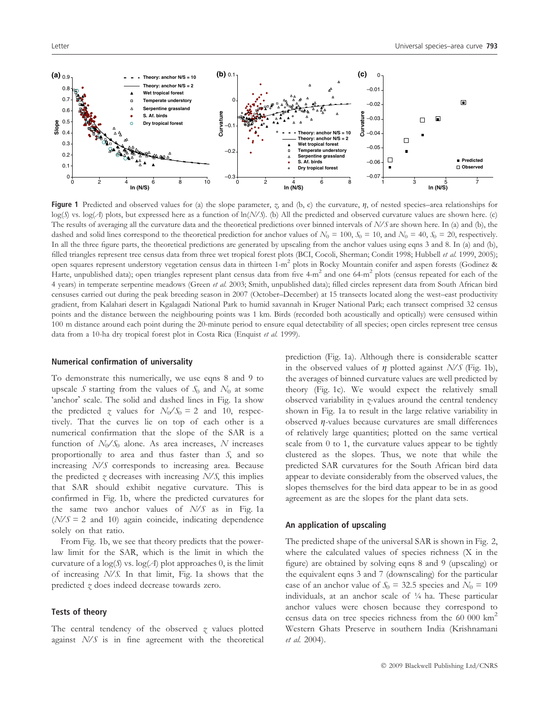

Figure 1 Predicted and observed values for (a) the slope parameter,  $z$ , and (b, c) the curvature,  $\eta$ , of nested species–area relationships for log(S) vs. log(A) plots, but expressed here as a function of  $\ln(N/S)$ . (b) All the predicted and observed curvature values are shown here. (c) The results of averaging all the curvature data and the theoretical predictions over binned intervals of  $N/S$  are shown here. In (a) and (b), the dashed and solid lines correspond to the theoretical prediction for anchor values of  $N_0 = 100$ ,  $S_0 = 10$ , and  $N_0 = 40$ ,  $S_0 = 20$ , respectively. In all the three figure parts, the theoretical predictions are generated by upscaling from the anchor values using eqns 3 and 8. In (a) and (b), filled triangles represent tree census data from three wet tropical forest plots (BCI, Cocoli, Sherman; Condit 1998; Hubbell et al. 1999, 2005); open squares represent understory vegetation census data in thirteen 1-m2 plots in Rocky Mountain conifer and aspen forests (Godinez & Harte, unpublished data); open triangles represent plant census data from five  $4-m^2$  and one 64-m<sup>2</sup> plots (census repeated for each of the 4 years) in temperate serpentine meadows (Green et al. 2003; Smith, unpublished data); filled circles represent data from South African bird censuses carried out during the peak breeding season in 2007 (October–December) at 15 transects located along the west–east productivity gradient, from Kalahari desert in Kgalagadi National Park to humid savannah in Kruger National Park; each transect comprised 32 census points and the distance between the neighbouring points was 1 km. Birds (recorded both acoustically and optically) were censused within 100 m distance around each point during the 20-minute period to ensure equal detectability of all species; open circles represent tree census data from a 10-ha dry tropical forest plot in Costa Rica (Enquist et al. 1999).

#### Numerical confirmation of universality

To demonstrate this numerically, we use eqns 8 and 9 to upscale S starting from the values of  $S_0$  and  $N_0$  at some 'anchor' scale. The solid and dashed lines in Fig. 1a show the predicted  $\gamma$  values for  $N_0 / S_0 = 2$  and 10, respectively. That the curves lie on top of each other is a numerical confirmation that the slope of the SAR is a function of  $N_0 / S_0$  alone. As area increases, N increases proportionally to area and thus faster than S, and so increasing  $N/S$  corresponds to increasing area. Because the predicted  $\gamma$  decreases with increasing  $N/S$ , this implies that SAR should exhibit negative curvature. This is confirmed in Fig. 1b, where the predicted curvatures for the same two anchor values of  $N/S$  as in Fig. 1a  $(N/S = 2$  and 10) again coincide, indicating dependence solely on that ratio.

From Fig. 1b, we see that theory predicts that the powerlaw limit for the SAR, which is the limit in which the curvature of a  $log(S)$  vs.  $log(A)$  plot approaches 0, is the limit of increasing  $N/S$ . In that limit, Fig. 1a shows that the predicted z does indeed decrease towards zero.

## Tests of theory

The central tendency of the observed  $\gamma$  values plotted against  $N/S$  is in fine agreement with the theoretical prediction (Fig. 1a). Although there is considerable scatter in the observed values of  $\eta$  plotted against  $N/S$  (Fig. 1b), the averages of binned curvature values are well predicted by theory (Fig. 1c). We would expect the relatively small observed variability in  $\chi$ -values around the central tendency shown in Fig. 1a to result in the large relative variability in observed  $\eta$ -values because curvatures are small differences of relatively large quantities; plotted on the same vertical scale from 0 to 1, the curvature values appear to be tightly clustered as the slopes. Thus, we note that while the predicted SAR curvatures for the South African bird data appear to deviate considerably from the observed values, the slopes themselves for the bird data appear to be in as good agreement as are the slopes for the plant data sets.

#### An application of upscaling

The predicted shape of the universal SAR is shown in Fig. 2, where the calculated values of species richness (X in the figure) are obtained by solving eqns 8 and 9 (upscaling) or the equivalent eqns 3 and 7 (downscaling) for the particular case of an anchor value of  $S_0 = 32.5$  species and  $N_0 = 109$ individuals, at an anchor scale of ¼ ha. These particular anchor values were chosen because they correspond to census data on tree species richness from the 60 000 km<sup>2</sup> Western Ghats Preserve in southern India (Krishnamani et al. 2004).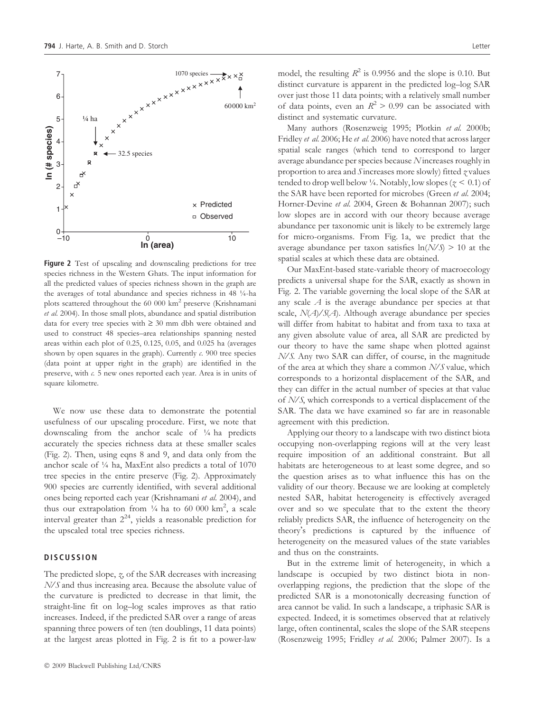

Figure 2 Test of upscaling and downscaling predictions for tree species richness in the Western Ghats. The input information for all the predicted values of species richness shown in the graph are the averages of total abundance and species richness in 48 ¼-ha plots scattered throughout the 60 000 km<sup>2</sup> preserve (Krishnamani et al. 2004). In those small plots, abundance and spatial distribution data for every tree species with  $\geq 30$  mm dbh were obtained and used to construct 48 species–area relationships spanning nested areas within each plot of 0.25, 0.125, 0.05, and 0.025 ha (averages shown by open squares in the graph). Currently  $\alpha$ . 900 tree species (data point at upper right in the graph) are identified in the preserve, with  $c$ . 5 new ones reported each year. Area is in units of square kilometre.

We now use these data to demonstrate the potential usefulness of our upscaling procedure. First, we note that downscaling from the anchor scale of ¼ ha predicts accurately the species richness data at these smaller scales (Fig. 2). Then, using eqns 8 and 9, and data only from the anchor scale of ¼ ha, MaxEnt also predicts a total of 1070 tree species in the entire preserve (Fig. 2). Approximately 900 species are currently identified, with several additional ones being reported each year (Krishnamani et al. 2004), and thus our extrapolation from  $\frac{1}{4}$  ha to 60 000 km<sup>2</sup>, a scale interval greater than  $2^{24}$ , yields a reasonable prediction for the upscaled total tree species richness.

### **DISCUSSION**

The predicted slope,  $z$ , of the SAR decreases with increasing  $N/S$  and thus increasing area. Because the absolute value of the curvature is predicted to decrease in that limit, the straight-line fit on log–log scales improves as that ratio increases. Indeed, if the predicted SAR over a range of areas spanning three powers of ten (ten doublings, 11 data points) at the largest areas plotted in Fig. 2 is fit to a power-law

Many authors (Rosenzweig 1995; Plotkin et al. 2000b; Fridley et al. 2006; He et al. 2006) have noted that across larger spatial scale ranges (which tend to correspond to larger average abundance per species because N increases roughly in proportion to area and S increases more slowly) fitted  $\gamma$  values tended to drop well below  $\frac{1}{4}$ . Notably, low slopes ( $\zeta$  < 0.1) of the SAR have been reported for microbes (Green et al. 2004; Horner-Devine et al. 2004, Green & Bohannan 2007); such low slopes are in accord with our theory because average abundance per taxonomic unit is likely to be extremely large for micro-organisms. From Fig. 1a, we predict that the average abundance per taxon satisfies  $ln(N/S) > 10$  at the spatial scales at which these data are obtained.

Our MaxEnt-based state-variable theory of macroecology predicts a universal shape for the SAR, exactly as shown in Fig. 2. The variable governing the local slope of the SAR at any scale  $A$  is the average abundance per species at that scale,  $N(A)/S(A)$ . Although average abundance per species will differ from habitat to habitat and from taxa to taxa at any given absolute value of area, all SAR are predicted by our theory to have the same shape when plotted against N/S. Any two SAR can differ, of course, in the magnitude of the area at which they share a common  $N/S$  value, which corresponds to a horizontal displacement of the SAR, and they can differ in the actual number of species at that value of  $N/S$ , which corresponds to a vertical displacement of the SAR. The data we have examined so far are in reasonable agreement with this prediction.

Applying our theory to a landscape with two distinct biota occupying non-overlapping regions will at the very least require imposition of an additional constraint. But all habitats are heterogeneous to at least some degree, and so the question arises as to what influence this has on the validity of our theory. Because we are looking at completely nested SAR, habitat heterogeneity is effectively averaged over and so we speculate that to the extent the theory reliably predicts SAR, the influence of heterogeneity on the theory's predictions is captured by the influence of heterogeneity on the measured values of the state variables and thus on the constraints.

But in the extreme limit of heterogeneity, in which a landscape is occupied by two distinct biota in nonoverlapping regions, the prediction that the slope of the predicted SAR is a monotonically decreasing function of area cannot be valid. In such a landscape, a triphasic SAR is expected. Indeed, it is sometimes observed that at relatively large, often continental, scales the slope of the SAR steepens (Rosenzweig 1995; Fridley et al. 2006; Palmer 2007). Is a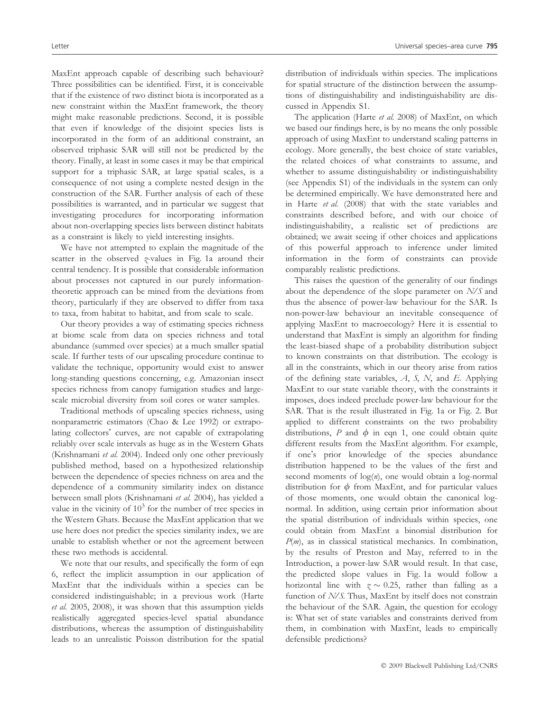MaxEnt approach capable of describing such behaviour? Three possibilities can be identified. First, it is conceivable that if the existence of two distinct biota is incorporated as a new constraint within the MaxEnt framework, the theory might make reasonable predictions. Second, it is possible that even if knowledge of the disjoint species lists is incorporated in the form of an additional constraint, an observed triphasic SAR will still not be predicted by the theory. Finally, at least in some cases it may be that empirical support for a triphasic SAR, at large spatial scales, is a consequence of not using a complete nested design in the construction of the SAR. Further analysis of each of these possibilities is warranted, and in particular we suggest that investigating procedures for incorporating information about non-overlapping species lists between distinct habitats as a constraint is likely to yield interesting insights.

We have not attempted to explain the magnitude of the scatter in the observed  $z$ -values in Fig. 1a around their central tendency. It is possible that considerable information about processes not captured in our purely informationtheoretic approach can be mined from the deviations from theory, particularly if they are observed to differ from taxa to taxa, from habitat to habitat, and from scale to scale.

Our theory provides a way of estimating species richness at biome scale from data on species richness and total abundance (summed over species) at a much smaller spatial scale. If further tests of our upscaling procedure continue to validate the technique, opportunity would exist to answer long-standing questions concerning, e.g. Amazonian insect species richness from canopy fumigation studies and largescale microbial diversity from soil cores or water samples.

Traditional methods of upscaling species richness, using nonparametric estimators (Chao & Lee 1992) or extrapolating collectors' curves, are not capable of extrapolating reliably over scale intervals as huge as in the Western Ghats (Krishnamani et al. 2004). Indeed only one other previously published method, based on a hypothesized relationship between the dependence of species richness on area and the dependence of a community similarity index on distance between small plots (Krishnamani et al. 2004), has yielded a value in the vicinity of  $10<sup>3</sup>$  for the number of tree species in the Western Ghats. Because the MaxEnt application that we use here does not predict the species similarity index, we are unable to establish whether or not the agreement between these two methods is accidental.

We note that our results, and specifically the form of eqn 6, reflect the implicit assumption in our application of MaxEnt that the individuals within a species can be considered indistinguishable; in a previous work (Harte et al. 2005, 2008), it was shown that this assumption yields realistically aggregated species-level spatial abundance distributions, whereas the assumption of distinguishability leads to an unrealistic Poisson distribution for the spatial distribution of individuals within species. The implications for spatial structure of the distinction between the assumptions of distinguishability and indistinguishability are discussed in Appendix S1.

The application (Harte et al. 2008) of MaxEnt, on which we based our findings here, is by no means the only possible approach of using MaxEnt to understand scaling patterns in ecology. More generally, the best choice of state variables, the related choices of what constraints to assume, and whether to assume distinguishability or indistinguishability (see Appendix S1) of the individuals in the system can only be determined empirically. We have demonstrated here and in Harte et al. (2008) that with the state variables and constraints described before, and with our choice of indistinguishability, a realistic set of predictions are obtained; we await seeing if other choices and applications of this powerful approach to inference under limited information in the form of constraints can provide comparably realistic predictions.

This raises the question of the generality of our findings about the dependence of the slope parameter on  $N/S$  and thus the absence of power-law behaviour for the SAR. Is non-power-law behaviour an inevitable consequence of applying MaxEnt to macroecology? Here it is essential to understand that MaxEnt is simply an algorithm for finding the least-biased shape of a probability distribution subject to known constraints on that distribution. The ecology is all in the constraints, which in our theory arise from ratios of the defining state variables,  $A$ ,  $S$ ,  $N$ , and  $E$ . Applying MaxEnt to our state variable theory, with the constraints it imposes, does indeed preclude power-law behaviour for the SAR. That is the result illustrated in Fig. 1a or Fig. 2. But applied to different constraints on the two probability distributions,  $P$  and  $\phi$  in eqn 1, one could obtain quite different results from the MaxEnt algorithm. For example, if one's prior knowledge of the species abundance distribution happened to be the values of the first and second moments of  $log(n)$ , one would obtain a log-normal distribution for  $\phi$  from MaxEnt, and for particular values of those moments, one would obtain the canonical lognormal. In addition, using certain prior information about the spatial distribution of individuals within species, one could obtain from MaxEnt a binomial distribution for  $P(m)$ , as in classical statistical mechanics. In combination, by the results of Preston and May, referred to in the Introduction, a power-law SAR would result. In that case, the predicted slope values in Fig. 1a would follow a horizontal line with  $z \sim 0.25$ , rather than falling as a function of  $N/S$ . Thus, MaxEnt by itself does not constrain the behaviour of the SAR. Again, the question for ecology is: What set of state variables and constraints derived from them, in combination with MaxEnt, leads to empirically defensible predictions?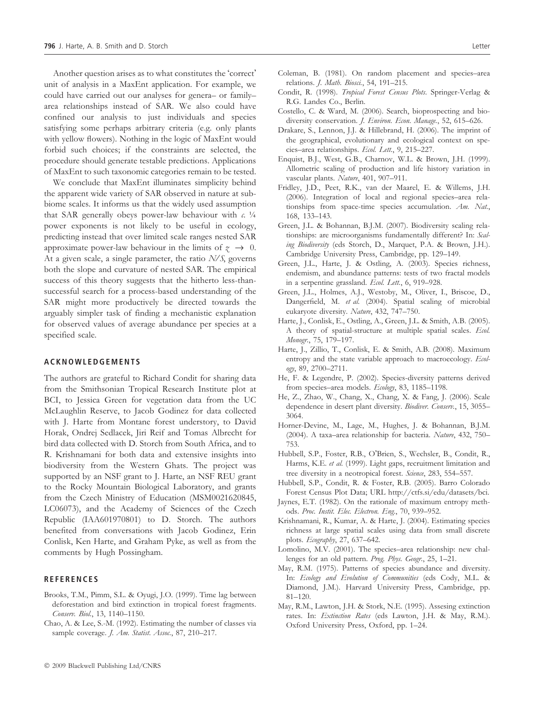Another question arises as to what constitutes the 'correct' unit of analysis in a MaxEnt application. For example, we could have carried out our analyses for genera– or family– area relationships instead of SAR. We also could have confined our analysis to just individuals and species satisfying some perhaps arbitrary criteria (e.g. only plants with yellow flowers). Nothing in the logic of MaxEnt would forbid such choices; if the constraints are selected, the procedure should generate testable predictions. Applications of MaxEnt to such taxonomic categories remain to be tested.

We conclude that MaxEnt illuminates simplicity behind the apparent wide variety of SAR observed in nature at subbiome scales. It informs us that the widely used assumption that SAR generally obeys power-law behaviour with  $c$ .  $\frac{1}{4}$ power exponents is not likely to be useful in ecology, predicting instead that over limited scale ranges nested SAR approximate power-law behaviour in the limits of  $\zeta \rightarrow 0$ . At a given scale, a single parameter, the ratio  $N/S$ , governs both the slope and curvature of nested SAR. The empirical success of this theory suggests that the hitherto less-thansuccessful search for a process-based understanding of the SAR might more productively be directed towards the arguably simpler task of finding a mechanistic explanation for observed values of average abundance per species at a specified scale.

### ACKNOWLEDGEMENTS

The authors are grateful to Richard Condit for sharing data from the Smithsonian Tropical Research Institute plot at BCI, to Jessica Green for vegetation data from the UC McLaughlin Reserve, to Jacob Godinez for data collected with J. Harte from Montane forest understory, to David Horak, Ondrej Sedlacek, Jiri Reif and Tomas Albrecht for bird data collected with D. Storch from South Africa, and to R. Krishnamani for both data and extensive insights into biodiversity from the Western Ghats. The project was supported by an NSF grant to J. Harte, an NSF REU grant to the Rocky Mountain Biological Laboratory, and grants from the Czech Ministry of Education (MSM0021620845, LC06073), and the Academy of Sciences of the Czech Republic (IAA601970801) to D. Storch. The authors benefited from conversations with Jacob Godinez, Erin Conlisk, Ken Harte, and Graham Pyke, as well as from the comments by Hugh Possingham.

# **REFERENCES**

- Brooks, T.M., Pimm, S.L. & Oyugi, J.O. (1999). Time lag between deforestation and bird extinction in tropical forest fragments. Conserv. Biol., 13, 1140–1150.
- Chao, A. & Lee, S.-M. (1992). Estimating the number of classes via sample coverage. J. Am. Statist. Assoc., 87, 210-217.
- Coleman, B. (1981). On random placement and species–area relations. J. Math. Biosci., 54, 191–215.
- Condit, R. (1998). Tropical Forest Census Plots. Springer-Verlag & R.G. Landes Co., Berlin.
- Costello, C. & Ward, M. (2006). Search, bioprospecting and biodiversity conservation. *J. Environ. Econ. Manage.*, 52, 615–626.
- Drakare, S., Lennon, J.J. & Hillebrand, H. (2006). The imprint of the geographical, evolutionary and ecological context on species-area relationships. Ecol. Lett., 9, 215-227.
- Enquist, B.J., West, G.B., Charnov, W.L. & Brown, J.H. (1999). Allometric scaling of production and life history variation in vascular plants. Nature, 401, 907–911.
- Fridley, J.D., Peet, R.K., van der Maarel, E. & Willems, J.H. (2006). Integration of local and regional species–area relationships from space-time species accumulation. Am. Nat., 168, 133–143.
- Green, J.L. & Bohannan, B.J.M. (2007). Biodiversity scaling relationships: are microorganisms fundamentally different? In: Scaling Biodiversity (eds Storch, D., Marquet, P.A. & Brown, J.H.). Cambridge University Press, Cambridge, pp. 129–149.
- Green, J.L., Harte, J. & Ostling, A. (2003). Species richness, endemism, and abundance patterns: tests of two fractal models in a serpentine grassland. Ecol. Lett., 6, 919-928.
- Green, J.L., Holmes, A.J., Westoby, M., Oliver, I., Briscoe, D., Dangerfield, M. et al. (2004). Spatial scaling of microbial eukaryote diversity. Nature, 432, 747–750.
- Harte, J., Conlisk, E., Ostling, A., Green, J.L. & Smith, A.B. (2005). A theory of spatial-structure at multiple spatial scales. Ecol. Monogr., 75, 179–197.
- Harte, J., Zillio, T., Conlisk, E. & Smith, A.B. (2008). Maximum entropy and the state variable approach to macroecology. Ecology, 89, 2700–2711.
- He, F. & Legendre, P. (2002). Species-diversity patterns derived from species-area models. Ecology, 83, 1185-1198.
- He, Z., Zhao, W., Chang, X., Chang, X. & Fang, J. (2006). Scale dependence in desert plant diversity. Biodiver. Conserv., 15, 3055– 3064.
- Horner-Devine, M., Lage, M., Hughes, J. & Bohannan, B.J.M. (2004). A taxa–area relationship for bacteria. Nature, 432, 750– 753.
- Hubbell, S.P., Foster, R.B., O'Brien, S., Wechsler, B., Condit, R., Harms, K.E. et al. (1999). Light gaps, recruitment limitation and tree diversity in a neotropical forest. Science, 283, 554–557.
- Hubbell, S.P., Condit, R. & Foster, R.B. (2005). Barro Colorado Forest Census Plot Data; URL http://ctfs.si/edu/datasets/bci.
- Jaynes, E.T. (1982). On the rationale of maximum entropy methods. Proc. Instit. Elec. Electron. Eng., 70, 939-952.
- Krishnamani, R., Kumar, A. & Harte, J. (2004). Estimating species richness at large spatial scales using data from small discrete plots. Ecography, 27, 637–642.
- Lomolino, M.V. (2001). The species–area relationship: new challenges for an old pattern. Prog. Phys. Geogr., 25, 1–21.
- May, R.M. (1975). Patterns of species abundance and diversity. In: Ecology and Evolution of Communities (eds Cody, M.L. & Diamond, J.M.). Harvard University Press, Cambridge, pp. 81–120.
- May, R.M., Lawton, J.H. & Stork, N.E. (1995). Assesing extinction rates. In: Extinction Rates (eds Lawton, J.H. & May, R.M.). Oxford University Press, Oxford, pp. 1–24.